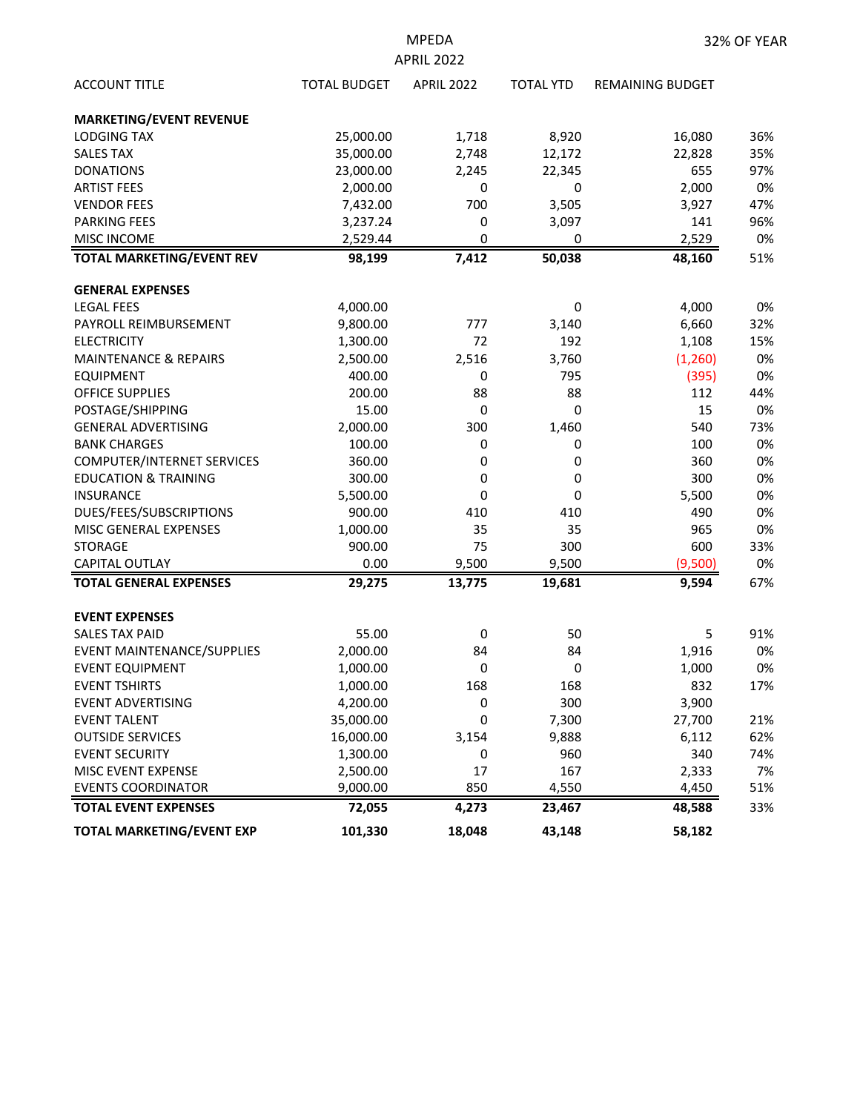| <b>APRIL 2022</b>                 |                     |                   |                  |                         |     |  |  |  |
|-----------------------------------|---------------------|-------------------|------------------|-------------------------|-----|--|--|--|
| <b>ACCOUNT TITLE</b>              | <b>TOTAL BUDGET</b> | <b>APRIL 2022</b> | <b>TOTAL YTD</b> | <b>REMAINING BUDGET</b> |     |  |  |  |
| <b>MARKETING/EVENT REVENUE</b>    |                     |                   |                  |                         |     |  |  |  |
| <b>LODGING TAX</b>                | 25,000.00           | 1,718             | 8,920            | 16,080                  | 36% |  |  |  |
| <b>SALES TAX</b>                  | 35,000.00           | 2,748             | 12,172           | 22,828                  | 35% |  |  |  |
| <b>DONATIONS</b>                  | 23,000.00           | 2,245             | 22,345           | 655                     | 97% |  |  |  |
| <b>ARTIST FEES</b>                | 2,000.00            | 0                 | 0                | 2,000                   | 0%  |  |  |  |
| <b>VENDOR FEES</b>                | 7,432.00            | 700               | 3,505            | 3,927                   | 47% |  |  |  |
| <b>PARKING FEES</b>               | 3,237.24            | 0                 | 3,097            | 141                     | 96% |  |  |  |
| <b>MISC INCOME</b>                | 2,529.44            | 0                 | 0                | 2,529                   | 0%  |  |  |  |
| <b>TOTAL MARKETING/EVENT REV</b>  | 98,199              | 7,412             | 50,038           | 48,160                  | 51% |  |  |  |
| <b>GENERAL EXPENSES</b>           |                     |                   |                  |                         |     |  |  |  |
| <b>LEGAL FEES</b>                 | 4,000.00            |                   | 0                | 4,000                   | 0%  |  |  |  |
| PAYROLL REIMBURSEMENT             | 9,800.00            | 777               | 3,140            | 6,660                   | 32% |  |  |  |
| <b>ELECTRICITY</b>                | 1,300.00            | 72                | 192              | 1,108                   | 15% |  |  |  |
| <b>MAINTENANCE &amp; REPAIRS</b>  | 2,500.00            | 2,516             | 3,760            | (1,260)                 | 0%  |  |  |  |
| <b>EQUIPMENT</b>                  | 400.00              | 0                 | 795              | (395)                   | 0%  |  |  |  |
| <b>OFFICE SUPPLIES</b>            | 200.00              | 88                | 88               | 112                     | 44% |  |  |  |
| POSTAGE/SHIPPING                  | 15.00               | 0                 | 0                | 15                      | 0%  |  |  |  |
| <b>GENERAL ADVERTISING</b>        | 2,000.00            | 300               | 1,460            | 540                     | 73% |  |  |  |
| <b>BANK CHARGES</b>               | 100.00              | 0                 | 0                | 100                     | 0%  |  |  |  |
| <b>COMPUTER/INTERNET SERVICES</b> | 360.00              | 0                 | 0                | 360                     | 0%  |  |  |  |
| <b>EDUCATION &amp; TRAINING</b>   | 300.00              | 0                 | 0                | 300                     | 0%  |  |  |  |
| <b>INSURANCE</b>                  | 5,500.00            | 0                 | 0                | 5,500                   | 0%  |  |  |  |
| DUES/FEES/SUBSCRIPTIONS           | 900.00              | 410               | 410              | 490                     | 0%  |  |  |  |
| MISC GENERAL EXPENSES             | 1,000.00            | 35                | 35               | 965                     | 0%  |  |  |  |
| <b>STORAGE</b>                    | 900.00              | 75                | 300              | 600                     | 33% |  |  |  |
| CAPITAL OUTLAY                    | 0.00                | 9,500             | 9,500            | (9,500)                 | 0%  |  |  |  |
| <b>TOTAL GENERAL EXPENSES</b>     | 29,275              | 13,775            | 19,681           | 9,594                   | 67% |  |  |  |
| <b>EVENT EXPENSES</b>             |                     |                   |                  |                         |     |  |  |  |
| <b>SALES TAX PAID</b>             | 55.00               | 0                 | 50               | 5                       | 91% |  |  |  |
| <b>EVENT MAINTENANCE/SUPPLIES</b> | 2,000.00            | 84                | 84               | 1,916                   | 0%  |  |  |  |
| <b>EVENT EQUIPMENT</b>            | 1,000.00            | 0                 | 0                | 1,000                   | 0%  |  |  |  |
| <b>EVENT TSHIRTS</b>              | 1,000.00            | 168               | 168              | 832                     | 17% |  |  |  |
| <b>EVENT ADVERTISING</b>          | 4,200.00            | 0                 | 300              | 3,900                   |     |  |  |  |
| <b>EVENT TALENT</b>               | 35,000.00           | 0                 | 7,300            | 27,700                  | 21% |  |  |  |
| <b>OUTSIDE SERVICES</b>           | 16,000.00           | 3,154             | 9,888            | 6,112                   | 62% |  |  |  |
| <b>EVENT SECURITY</b>             | 1,300.00            | 0                 | 960              | 340                     | 74% |  |  |  |
| MISC EVENT EXPENSE                | 2,500.00            | 17                | 167              | 2,333                   | 7%  |  |  |  |
| <b>EVENTS COORDINATOR</b>         | 9,000.00            | 850               | 4,550            | 4,450                   | 51% |  |  |  |
| <b>TOTAL EVENT EXPENSES</b>       | 72,055              | 4,273             | 23,467           | 48,588                  | 33% |  |  |  |
| <b>TOTAL MARKETING/EVENT EXP</b>  | 101,330             | 18,048            | 43,148           | 58,182                  |     |  |  |  |

MPEDA